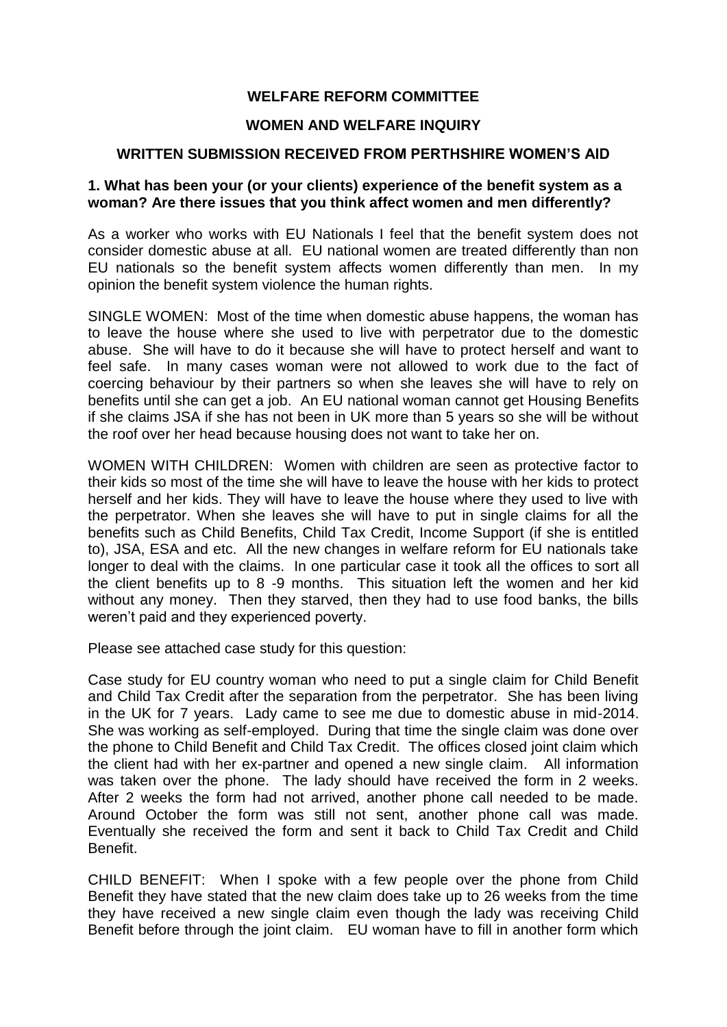# **WELFARE REFORM COMMITTEE**

#### **WOMEN AND WELFARE INQUIRY**

#### **WRITTEN SUBMISSION RECEIVED FROM PERTHSHIRE WOMEN'S AID**

#### **1. What has been your (or your clients) experience of the benefit system as a woman? Are there issues that you think affect women and men differently?**

As a worker who works with EU Nationals I feel that the benefit system does not consider domestic abuse at all. EU national women are treated differently than non EU nationals so the benefit system affects women differently than men. In my opinion the benefit system violence the human rights.

SINGLE WOMEN: Most of the time when domestic abuse happens, the woman has to leave the house where she used to live with perpetrator due to the domestic abuse. She will have to do it because she will have to protect herself and want to feel safe. In many cases woman were not allowed to work due to the fact of coercing behaviour by their partners so when she leaves she will have to rely on benefits until she can get a job. An EU national woman cannot get Housing Benefits if she claims JSA if she has not been in UK more than 5 years so she will be without the roof over her head because housing does not want to take her on.

WOMEN WITH CHILDREN: Women with children are seen as protective factor to their kids so most of the time she will have to leave the house with her kids to protect herself and her kids. They will have to leave the house where they used to live with the perpetrator. When she leaves she will have to put in single claims for all the benefits such as Child Benefits, Child Tax Credit, Income Support (if she is entitled to), JSA, ESA and etc. All the new changes in welfare reform for EU nationals take longer to deal with the claims. In one particular case it took all the offices to sort all the client benefits up to 8 -9 months. This situation left the women and her kid without any money. Then they starved, then they had to use food banks, the bills weren't paid and they experienced poverty.

Please see attached case study for this question:

Case study for EU country woman who need to put a single claim for Child Benefit and Child Tax Credit after the separation from the perpetrator. She has been living in the UK for 7 years. Lady came to see me due to domestic abuse in mid-2014. She was working as self-employed. During that time the single claim was done over the phone to Child Benefit and Child Tax Credit. The offices closed joint claim which the client had with her ex-partner and opened a new single claim. All information was taken over the phone. The lady should have received the form in 2 weeks. After 2 weeks the form had not arrived, another phone call needed to be made. Around October the form was still not sent, another phone call was made. Eventually she received the form and sent it back to Child Tax Credit and Child Benefit.

CHILD BENEFIT: When I spoke with a few people over the phone from Child Benefit they have stated that the new claim does take up to 26 weeks from the time they have received a new single claim even though the lady was receiving Child Benefit before through the joint claim. EU woman have to fill in another form which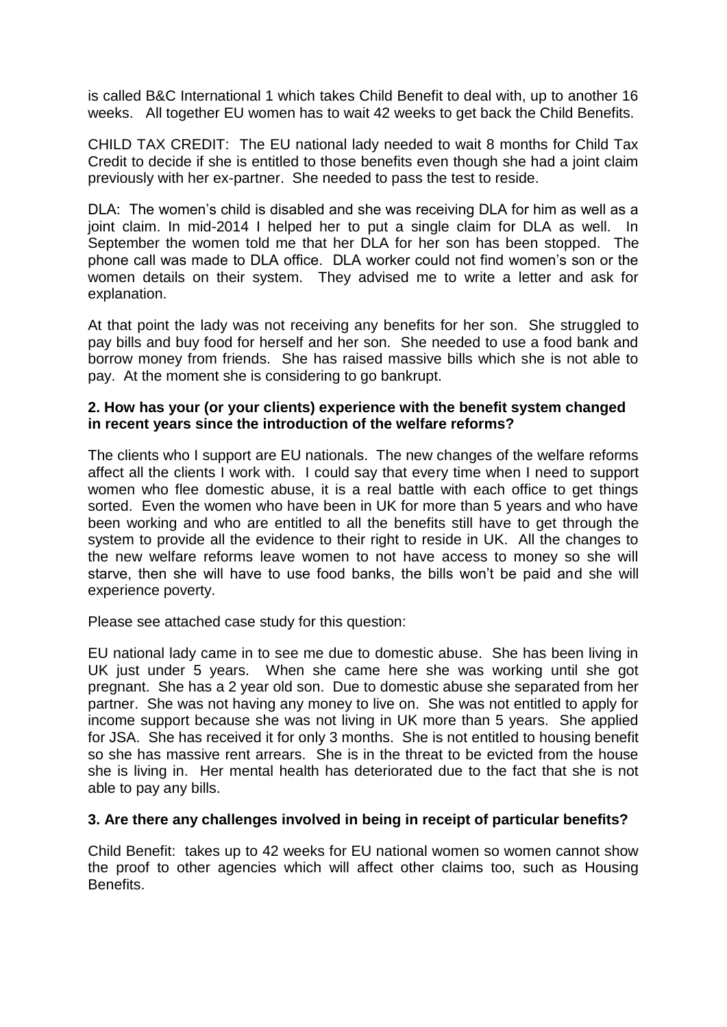is called B&C International 1 which takes Child Benefit to deal with, up to another 16 weeks. All together EU women has to wait 42 weeks to get back the Child Benefits.

CHILD TAX CREDIT: The EU national lady needed to wait 8 months for Child Tax Credit to decide if she is entitled to those benefits even though she had a joint claim previously with her ex-partner. She needed to pass the test to reside.

DLA: The women's child is disabled and she was receiving DLA for him as well as a joint claim. In mid-2014 I helped her to put a single claim for DLA as well. In September the women told me that her DLA for her son has been stopped. The phone call was made to DLA office. DLA worker could not find women's son or the women details on their system. They advised me to write a letter and ask for explanation.

At that point the lady was not receiving any benefits for her son. She struggled to pay bills and buy food for herself and her son. She needed to use a food bank and borrow money from friends. She has raised massive bills which she is not able to pay. At the moment she is considering to go bankrupt.

#### **2. How has your (or your clients) experience with the benefit system changed in recent years since the introduction of the welfare reforms?**

The clients who I support are EU nationals. The new changes of the welfare reforms affect all the clients I work with. I could say that every time when I need to support women who flee domestic abuse, it is a real battle with each office to get things sorted. Even the women who have been in UK for more than 5 years and who have been working and who are entitled to all the benefits still have to get through the system to provide all the evidence to their right to reside in UK. All the changes to the new welfare reforms leave women to not have access to money so she will starve, then she will have to use food banks, the bills won't be paid and she will experience poverty.

Please see attached case study for this question:

EU national lady came in to see me due to domestic abuse. She has been living in UK just under 5 years. When she came here she was working until she got pregnant. She has a 2 year old son. Due to domestic abuse she separated from her partner. She was not having any money to live on. She was not entitled to apply for income support because she was not living in UK more than 5 years. She applied for JSA. She has received it for only 3 months. She is not entitled to housing benefit so she has massive rent arrears. She is in the threat to be evicted from the house she is living in. Her mental health has deteriorated due to the fact that she is not able to pay any bills.

## **3. Are there any challenges involved in being in receipt of particular benefits?**

Child Benefit: takes up to 42 weeks for EU national women so women cannot show the proof to other agencies which will affect other claims too, such as Housing Benefits.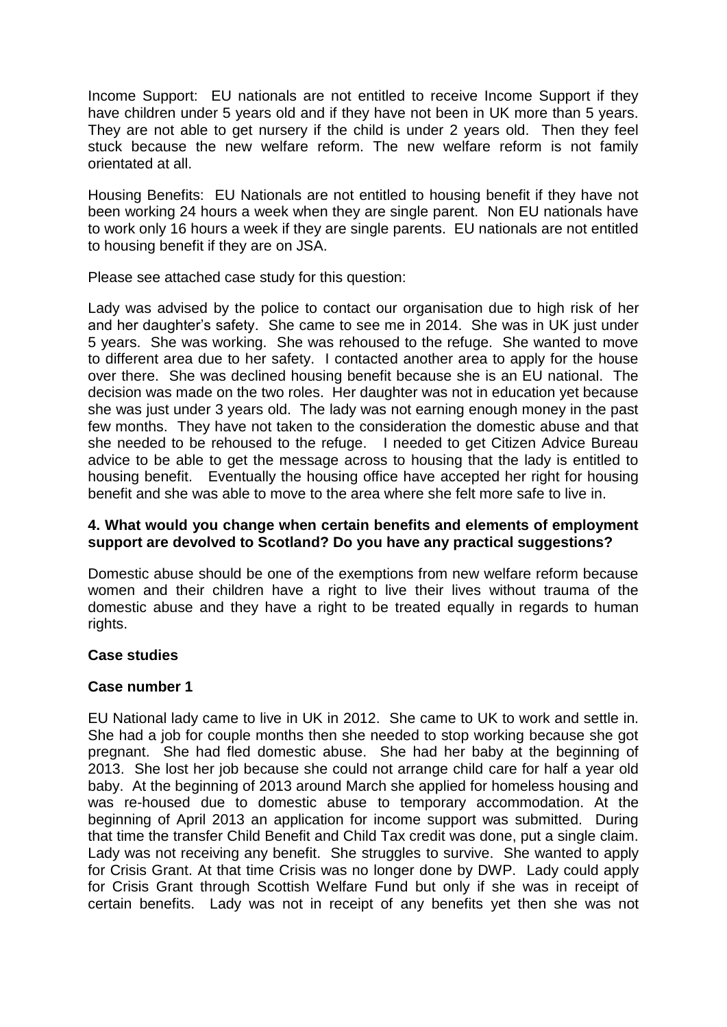Income Support: EU nationals are not entitled to receive Income Support if they have children under 5 years old and if they have not been in UK more than 5 years. They are not able to get nursery if the child is under 2 years old. Then they feel stuck because the new welfare reform. The new welfare reform is not family orientated at all.

Housing Benefits: EU Nationals are not entitled to housing benefit if they have not been working 24 hours a week when they are single parent. Non EU nationals have to work only 16 hours a week if they are single parents. EU nationals are not entitled to housing benefit if they are on JSA.

Please see attached case study for this question:

Lady was advised by the police to contact our organisation due to high risk of her and her daughter's safety. She came to see me in 2014. She was in UK just under 5 years. She was working. She was rehoused to the refuge. She wanted to move to different area due to her safety. I contacted another area to apply for the house over there. She was declined housing benefit because she is an EU national. The decision was made on the two roles. Her daughter was not in education yet because she was just under 3 years old. The lady was not earning enough money in the past few months. They have not taken to the consideration the domestic abuse and that she needed to be rehoused to the refuge. I needed to get Citizen Advice Bureau advice to be able to get the message across to housing that the lady is entitled to housing benefit. Eventually the housing office have accepted her right for housing benefit and she was able to move to the area where she felt more safe to live in.

#### **4. What would you change when certain benefits and elements of employment support are devolved to Scotland? Do you have any practical suggestions?**

Domestic abuse should be one of the exemptions from new welfare reform because women and their children have a right to live their lives without trauma of the domestic abuse and they have a right to be treated equally in regards to human rights.

## **Case studies**

## **Case number 1**

EU National lady came to live in UK in 2012. She came to UK to work and settle in. She had a job for couple months then she needed to stop working because she got pregnant. She had fled domestic abuse. She had her baby at the beginning of 2013. She lost her job because she could not arrange child care for half a year old baby. At the beginning of 2013 around March she applied for homeless housing and was re-housed due to domestic abuse to temporary accommodation. At the beginning of April 2013 an application for income support was submitted. During that time the transfer Child Benefit and Child Tax credit was done, put a single claim. Lady was not receiving any benefit. She struggles to survive. She wanted to apply for Crisis Grant. At that time Crisis was no longer done by DWP. Lady could apply for Crisis Grant through Scottish Welfare Fund but only if she was in receipt of certain benefits. Lady was not in receipt of any benefits yet then she was not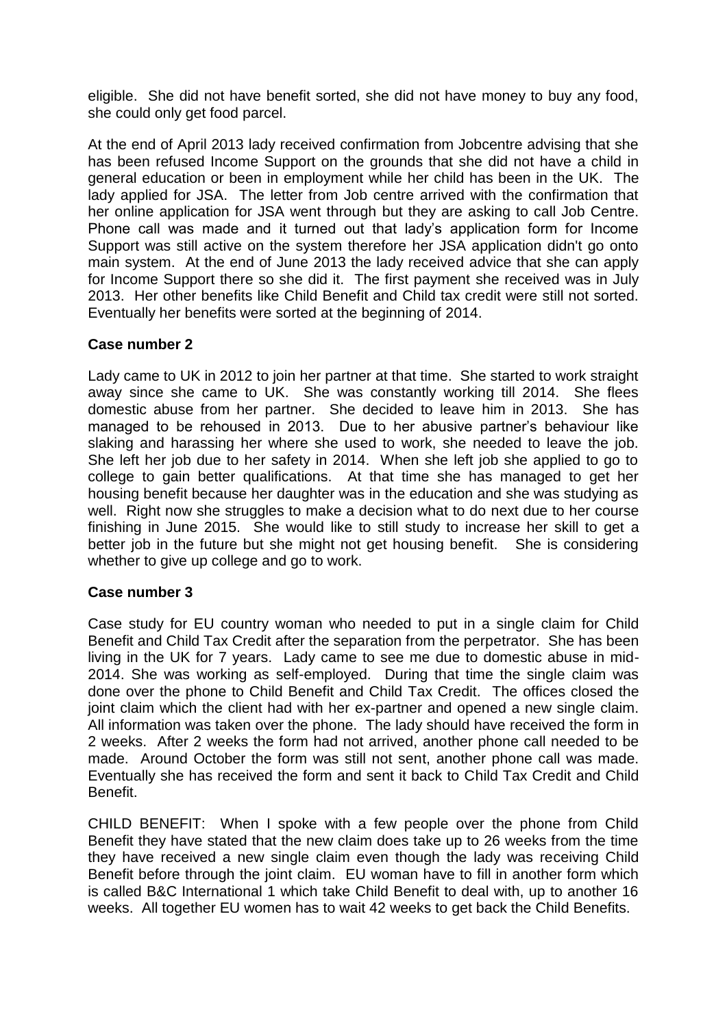eligible. She did not have benefit sorted, she did not have money to buy any food, she could only get food parcel.

At the end of April 2013 lady received confirmation from Jobcentre advising that she has been refused Income Support on the grounds that she did not have a child in general education or been in employment while her child has been in the UK. The lady applied for JSA. The letter from Job centre arrived with the confirmation that her online application for JSA went through but they are asking to call Job Centre. Phone call was made and it turned out that lady's application form for Income Support was still active on the system therefore her JSA application didn't go onto main system. At the end of June 2013 the lady received advice that she can apply for Income Support there so she did it. The first payment she received was in July 2013. Her other benefits like Child Benefit and Child tax credit were still not sorted. Eventually her benefits were sorted at the beginning of 2014.

## **Case number 2**

Lady came to UK in 2012 to join her partner at that time. She started to work straight away since she came to UK. She was constantly working till 2014. She flees domestic abuse from her partner. She decided to leave him in 2013. She has managed to be rehoused in 2013. Due to her abusive partner's behaviour like slaking and harassing her where she used to work, she needed to leave the job. She left her job due to her safety in 2014. When she left job she applied to go to college to gain better qualifications. At that time she has managed to get her housing benefit because her daughter was in the education and she was studying as well. Right now she struggles to make a decision what to do next due to her course finishing in June 2015. She would like to still study to increase her skill to get a better job in the future but she might not get housing benefit. She is considering whether to give up college and go to work.

## **Case number 3**

Case study for EU country woman who needed to put in a single claim for Child Benefit and Child Tax Credit after the separation from the perpetrator. She has been living in the UK for 7 years. Lady came to see me due to domestic abuse in mid-2014. She was working as self-employed. During that time the single claim was done over the phone to Child Benefit and Child Tax Credit. The offices closed the joint claim which the client had with her ex-partner and opened a new single claim. All information was taken over the phone. The lady should have received the form in 2 weeks. After 2 weeks the form had not arrived, another phone call needed to be made. Around October the form was still not sent, another phone call was made. Eventually she has received the form and sent it back to Child Tax Credit and Child Benefit.

CHILD BENEFIT: When I spoke with a few people over the phone from Child Benefit they have stated that the new claim does take up to 26 weeks from the time they have received a new single claim even though the lady was receiving Child Benefit before through the joint claim. EU woman have to fill in another form which is called B&C International 1 which take Child Benefit to deal with, up to another 16 weeks. All together EU women has to wait 42 weeks to get back the Child Benefits.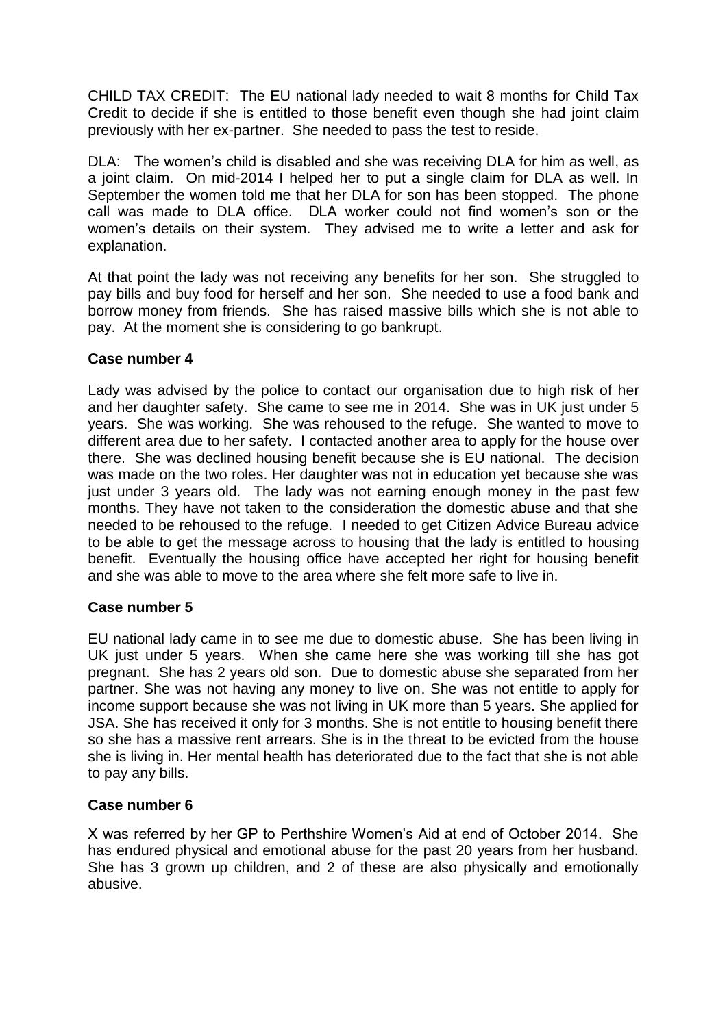CHILD TAX CREDIT: The EU national lady needed to wait 8 months for Child Tax Credit to decide if she is entitled to those benefit even though she had joint claim previously with her ex-partner. She needed to pass the test to reside.

DLA: The women's child is disabled and she was receiving DLA for him as well, as a joint claim. On mid-2014 I helped her to put a single claim for DLA as well. In September the women told me that her DLA for son has been stopped. The phone call was made to DLA office. DLA worker could not find women's son or the women's details on their system. They advised me to write a letter and ask for explanation.

At that point the lady was not receiving any benefits for her son. She struggled to pay bills and buy food for herself and her son. She needed to use a food bank and borrow money from friends. She has raised massive bills which she is not able to pay. At the moment she is considering to go bankrupt.

# **Case number 4**

Lady was advised by the police to contact our organisation due to high risk of her and her daughter safety. She came to see me in 2014. She was in UK just under 5 years. She was working. She was rehoused to the refuge. She wanted to move to different area due to her safety. I contacted another area to apply for the house over there. She was declined housing benefit because she is EU national. The decision was made on the two roles. Her daughter was not in education yet because she was just under 3 years old. The lady was not earning enough money in the past few months. They have not taken to the consideration the domestic abuse and that she needed to be rehoused to the refuge. I needed to get Citizen Advice Bureau advice to be able to get the message across to housing that the lady is entitled to housing benefit. Eventually the housing office have accepted her right for housing benefit and she was able to move to the area where she felt more safe to live in.

# **Case number 5**

EU national lady came in to see me due to domestic abuse. She has been living in UK just under 5 years. When she came here she was working till she has got pregnant. She has 2 years old son. Due to domestic abuse she separated from her partner. She was not having any money to live on. She was not entitle to apply for income support because she was not living in UK more than 5 years. She applied for JSA. She has received it only for 3 months. She is not entitle to housing benefit there so she has a massive rent arrears. She is in the threat to be evicted from the house she is living in. Her mental health has deteriorated due to the fact that she is not able to pay any bills.

# **Case number 6**

X was referred by her GP to Perthshire Women's Aid at end of October 2014. She has endured physical and emotional abuse for the past 20 years from her husband. She has 3 grown up children, and 2 of these are also physically and emotionally abusive.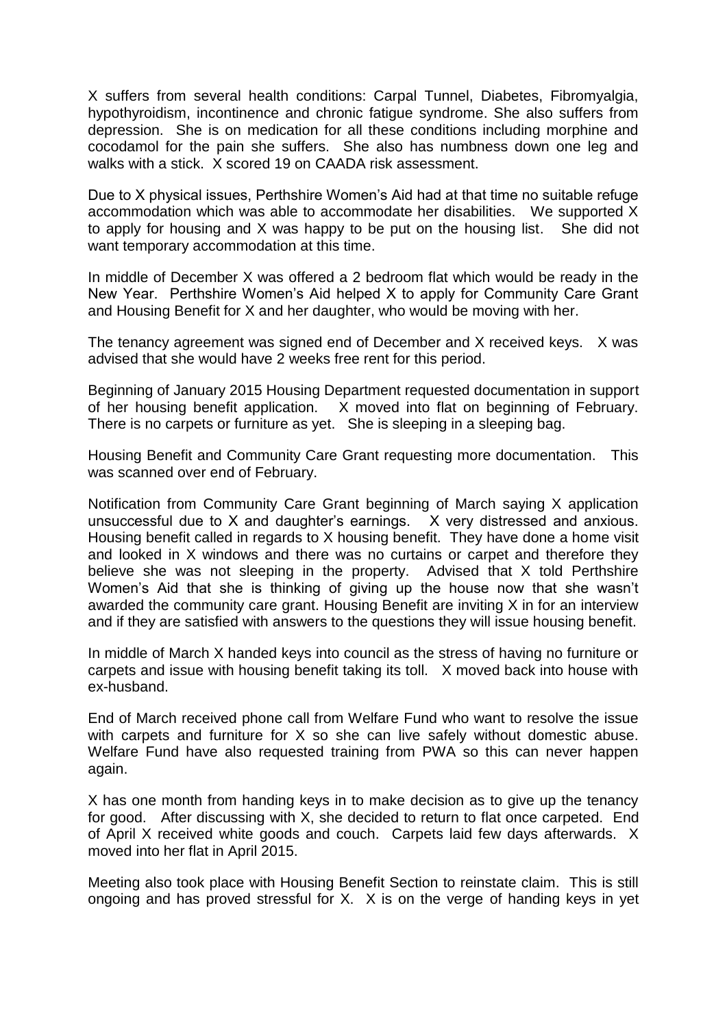X suffers from several health conditions: Carpal Tunnel, Diabetes, Fibromyalgia, hypothyroidism, incontinence and chronic fatigue syndrome. She also suffers from depression. She is on medication for all these conditions including morphine and cocodamol for the pain she suffers. She also has numbness down one leg and walks with a stick. X scored 19 on CAADA risk assessment.

Due to X physical issues, Perthshire Women's Aid had at that time no suitable refuge accommodation which was able to accommodate her disabilities. We supported X to apply for housing and X was happy to be put on the housing list. She did not want temporary accommodation at this time.

In middle of December X was offered a 2 bedroom flat which would be ready in the New Year. Perthshire Women's Aid helped X to apply for Community Care Grant and Housing Benefit for X and her daughter, who would be moving with her.

The tenancy agreement was signed end of December and X received keys. X was advised that she would have 2 weeks free rent for this period.

Beginning of January 2015 Housing Department requested documentation in support of her housing benefit application. X moved into flat on beginning of February. There is no carpets or furniture as yet. She is sleeping in a sleeping bag.

Housing Benefit and Community Care Grant requesting more documentation. This was scanned over end of February.

Notification from Community Care Grant beginning of March saying X application unsuccessful due to X and daughter's earnings. X very distressed and anxious. Housing benefit called in regards to X housing benefit. They have done a home visit and looked in X windows and there was no curtains or carpet and therefore they believe she was not sleeping in the property. Advised that X told Perthshire Women's Aid that she is thinking of giving up the house now that she wasn't awarded the community care grant. Housing Benefit are inviting X in for an interview and if they are satisfied with answers to the questions they will issue housing benefit.

In middle of March X handed keys into council as the stress of having no furniture or carpets and issue with housing benefit taking its toll. X moved back into house with ex-husband.

End of March received phone call from Welfare Fund who want to resolve the issue with carpets and furniture for X so she can live safely without domestic abuse. Welfare Fund have also requested training from PWA so this can never happen again.

X has one month from handing keys in to make decision as to give up the tenancy for good. After discussing with X, she decided to return to flat once carpeted. End of April X received white goods and couch. Carpets laid few days afterwards. X moved into her flat in April 2015.

Meeting also took place with Housing Benefit Section to reinstate claim. This is still ongoing and has proved stressful for X. X is on the verge of handing keys in yet